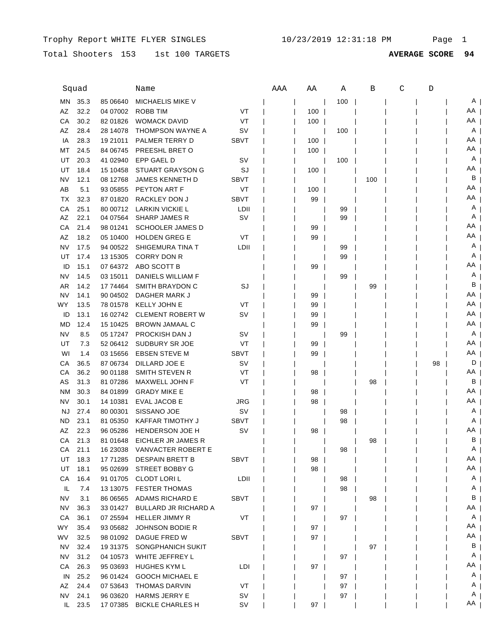## Total Shooters 153 1st 100 TARGETS **AVERAGE SCORE 94**

| Squad     |      |           | Name                        |             | AAA | ΑA  | Α   | B   | C | D  |    |
|-----------|------|-----------|-----------------------------|-------------|-----|-----|-----|-----|---|----|----|
| MN        | 35.3 | 85 06640  | <b>MICHAELIS MIKE V</b>     |             |     |     | 100 |     |   |    | A  |
| AZ        | 32.2 | 04 07002  | ROBB TIM                    | VT          |     | 100 |     |     |   |    | AA |
| СA        | 30.2 | 82 01826  | <b>WOMACK DAVID</b>         | VT          |     | 100 |     |     |   |    | AA |
| AZ        | 28.4 | 28 14078  | <b>THOMPSON WAYNE A</b>     | S٧          |     |     | 100 |     |   |    | A  |
| IA        | 28.3 | 19 21011  | PALMER TERRY D              | <b>SBVT</b> |     | 100 |     |     |   |    | AA |
| МT        | 24.5 | 84 06745  | PREESHL BRET O              |             |     | 100 |     |     |   |    | AA |
| UT        | 20.3 | 41 02940  | EPP GAEL D                  | S٧          |     |     | 100 |     |   |    | A  |
| UT        | 18.4 | 15 10458  | <b>STUART GRAYSON G</b>     | SJ          |     | 100 |     |     |   |    | ΑA |
| NV        | 12.1 | 08 12768  | <b>JAMES KENNETH D</b>      | <b>SBVT</b> |     |     |     | 100 |   |    | в  |
| AB        | 5.1  | 93 05855  | PEYTON ART F                | VT          |     | 100 |     |     |   |    | ΑA |
| TX        | 32.3 | 87 01820  | <b>RACKLEY DON J</b>        | <b>SBVT</b> |     | 99  |     |     |   |    | ΑA |
| СA        | 25.1 | 80 00712  | LARKIN VICKIE L             | LDII        |     |     | 99  |     |   |    | Α  |
| AZ        | 22.1 | 04 07564  | <b>SHARP JAMES R</b>        | S٧          |     |     | 99  |     |   |    | Α  |
| СA        | 21.4 | 98 01241  | <b>SCHOOLER JAMES D</b>     |             |     | 99  |     |     |   |    | AA |
| AZ        | 18.2 | 05 10400  | <b>HOLDEN GREG E</b>        | VT          |     | 99  |     |     |   |    | AA |
| NV        | 17.5 | 94 00522  | SHIGEMURA TINA T            | LDII        |     |     | 99  |     |   |    | A  |
| UT        | 17.4 | 13 15305  | CORRY DON R                 |             |     |     | 99  |     |   |    | Α  |
| ID        | 15.1 | 07 64372  | ABO SCOTT B                 |             |     | 99  |     |     |   |    | AA |
| NV        | 14.5 | 03 15011  | DANIELS WILLIAM F           |             |     |     | 99  |     |   |    | A  |
| AR        | 14.2 | 17 74464  | SMITH BRAYDON C             | SJ          |     |     |     | 99  |   |    | В  |
| NV        | 14.1 | 90 04502  | DAGHER MARK J               |             |     | 99  |     |     |   |    | AA |
| WY        | 13.5 | 78 01578  | <b>KELLY JOHN E</b>         | VT          |     | 99  |     |     |   |    | AA |
| ID        | 13.1 | 16 02742  | <b>CLEMENT ROBERT W</b>     | S٧          |     | 99  |     |     |   |    | AA |
| <b>MD</b> | 12.4 | 15 10425  | <b>BROWN JAMAAL C</b>       |             |     | 99  |     |     |   |    | AA |
| NV        | 8.5  | 05 17247  | PROCKISH DAN J              | S٧          |     |     | 99  |     |   |    | A  |
| UT        | 7.3  | 52 06412  | <b>SUDBURY SR JOE</b>       | VT          |     | 99  |     |     |   |    | AA |
| WI        | 1.4  | 03 15656  | <b>EBSEN STEVE M</b>        | <b>SBVT</b> |     | 99  |     |     |   |    | AA |
| CА        | 36.5 | 87 06734  | DILLARD JOE E               | S٧          |     |     |     |     |   | 98 | D  |
| СA        | 36.2 | 90 01188  | SMITH STEVEN R              | VT          |     | 98  |     |     |   |    | AA |
| AS        | 31.3 | 81 07286  | MAXWELL JOHN F              | VT          |     |     |     | 98  |   |    | B  |
| <b>NM</b> | 30.3 | 84 01899  | <b>GRADY MIKE E</b>         |             |     | 98  |     |     |   |    | AA |
| NV        | 30.1 | 14 10381  | <b>EVAL JACOB E</b>         | JRG         |     | 98  |     |     |   |    | AA |
| <b>NJ</b> | 27.4 | 80 00301  | SISSANO JOE                 | sv          |     |     | 98  |     |   |    | A  |
| ND        | 23.1 | 81 05350  | <b>KAFFAR TIMOTHY J</b>     | <b>SBVT</b> |     |     | 98  |     |   |    | Α  |
| AZ        | 22.3 | 96 05286  | <b>HENDERSON JOE H</b>      | S٧          |     | 98  |     |     |   |    | AA |
| СA        | 21.3 | 81 01 648 | EICHLER JR JAMES R          |             |     |     |     | 98  |   |    | В  |
| СA        | 21.1 | 16 23038  | VANVACTER ROBERT E          |             |     |     | 98  |     |   |    | A  |
| UT        | 18.3 | 17 71285  | <b>DESPAIN BRETT B</b>      | <b>SBVT</b> |     | 98  |     |     |   |    | AA |
| UT        | 18.1 | 95 02699  | STREET BOBBY G              |             |     | 98  |     |     |   |    | AA |
| СA        | 16.4 | 91 01705  | <b>CLODT LORIL</b>          | LDII        |     |     | 98  |     |   |    | A  |
| IL.       | 7.4  | 13 13 075 | <b>FESTER THOMAS</b>        |             |     |     | 98  |     |   |    | A  |
| <b>NV</b> | 3.1  | 86 06565  | <b>ADAMS RICHARD E</b>      | <b>SBVT</b> |     |     |     | 98  |   |    | B  |
| <b>NV</b> | 36.3 | 33 01427  | <b>BULLARD JR RICHARD A</b> |             |     | 97  |     |     |   |    | AA |
| CA        | 36.1 | 07 25594  | <b>HELLER JIMMY R</b>       | VT          |     |     | 97  |     |   |    | A  |
| <b>WY</b> | 35.4 | 93 05 682 | <b>JOHNSON BODIE R</b>      |             |     | 97  |     |     |   |    | AA |
| WV        | 32.5 | 98 01092  | DAGUE FRED W                | <b>SBVT</b> |     | 97  |     |     |   |    | AA |
| NV        | 32.4 | 19 31 375 | SONGPHANICH SUKIT           |             |     |     |     | 97  |   |    | B  |
| NV        | 31.2 | 04 10573  | WHITE JEFFREY L             |             |     |     | 97  |     |   |    | A  |
|           | 26.3 | 95 03693  | HUGHES KYM L                |             |     |     |     |     |   |    | AA |
| CA<br>IN  | 25.2 | 96 01424  | <b>GOOCH MICHAEL E</b>      | LDI         |     | 97  |     |     |   |    | A  |
| AZ        | 24.4 | 07 53 643 | <b>THOMAS DARVIN</b>        | VT          |     |     | 97  |     |   |    | A  |
| NV        | 24.1 | 96 03620  | <b>HARMS JERRY E</b>        |             |     |     | 97  |     |   |    | A  |
| IL        | 23.5 | 17 07 385 | <b>BICKLE CHARLES H</b>     | sv<br>sv    |     | 97  | 97  |     |   |    | AA |
|           |      |           |                             |             |     |     |     |     |   |    |    |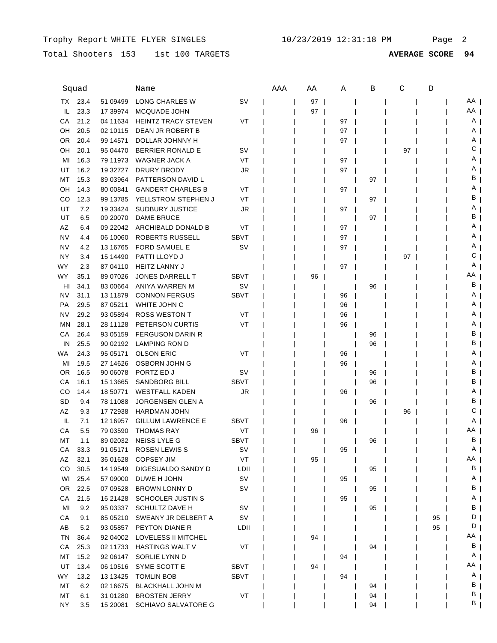## Total Shooters 153 1st 100 TARGETS **AVERAGE SCORE 94**

|             | Squad |           | Name                       |             | AAA | ΑA | Α  | В  | C  | D  |    |
|-------------|-------|-----------|----------------------------|-------------|-----|----|----|----|----|----|----|
| TX.         | 23.4  | 51 09499  | LONG CHARLES W             | sv          |     | 97 |    |    |    |    | AA |
| IL.         | 23.3  | 17 39974  | <b>MCQUADE JOHN</b>        |             |     | 97 |    |    |    |    | AA |
| СA          | 21.2  | 04 11 634 | <b>HEINTZ TRACY STEVEN</b> | VT          |     |    | 97 |    |    |    | Α  |
| OН          | 20.5  | 02 10115  | DEAN JR ROBERT B           |             |     |    | 97 |    |    |    | A  |
| 0R          | 20.4  | 99 14571  | DOLLAR JOHNNY H            |             |     |    | 97 |    |    |    | A  |
| OН          | 20.1  | 95 04470  | <b>BERRIER RONALD E</b>    | sv          |     |    |    |    | 97 |    | С  |
| MI          | 16.3  | 79 11973  | WAGNER JACK A              | VT          |     |    | 97 |    |    |    | Α  |
| UT          | 16.2  | 19 32727  | DRURY BRODY                | JR          |     |    | 97 |    |    |    | Α  |
| МT          | 15.3  | 89 03964  | <b>PATTERSON DAVID L</b>   |             |     |    |    | 97 |    |    | В  |
| OН          | 14.3  | 80 00841  | <b>GANDERT CHARLES B</b>   | VT          |     |    | 97 |    |    |    | Α  |
| CO          | 12.3  | 99 13785  | YELLSTROM STEPHEN J        | VT          |     |    |    | 97 |    |    | В  |
| UT          | 7.2   | 19 33424  | <b>SUDBURY JUSTICE</b>     | JR          |     |    | 97 |    |    |    | Α  |
| UT          | 6.5   | 09 20070  | <b>DAME BRUCE</b>          |             |     |    |    | 97 |    |    | В  |
| AZ          | 6.4   | 09 22042  | ARCHIBALD DONALD B         | VT          |     |    | 97 |    |    |    | Α  |
| <b>NV</b>   | 4.4   | 06 10060  | ROBERTS RUSSELL            | <b>SBVT</b> |     |    | 97 |    |    |    | A  |
| NV          | 4.2   | 13 16765  | <b>FORD SAMUEL E</b>       | SV          |     |    | 97 |    |    |    | Α  |
| NY          | 3.4   | 15 14490  | PATTI LLOYD J              |             |     |    |    |    | 97 |    | С  |
| <b>WY</b>   | 2.3   | 87 04110  | <b>HEITZ LANNY J</b>       |             |     |    | 97 |    |    |    | Α  |
| WY.         | 35.1  | 89 07026  | <b>JONES DARRELL T</b>     | <b>SBVT</b> |     | 96 |    |    |    |    | ΑA |
| HI          | 34.1  | 83 00664  | ANIYA WARREN M             | sv          |     |    |    | 96 |    |    | В  |
| NV          | 31.1  | 13 11 879 | <b>CONNON FERGUS</b>       | <b>SBVT</b> |     |    | 96 |    |    |    | A  |
| <b>PA</b>   | 29.5  | 87 05211  | WHITE JOHN C               |             |     |    | 96 |    |    |    | A  |
| NV          | 29.2  | 93 05894  | <b>ROSS WESTON T</b>       | VT          |     |    | 96 |    |    |    | A  |
| MN          | 28.1  | 28 11128  | PETERSON CURTIS            | VT          |     |    | 96 |    |    |    | A  |
| CА          | 26.4  | 93 05159  | <b>FERGUSON DARIN R</b>    |             |     |    |    | 96 |    |    | В  |
| IN          | 25.5  | 90 02192  | LAMPING RON D              |             |     |    |    | 96 |    |    | В  |
| WA.         | 24.3  | 95 05171  | <b>OLSON ERIC</b>          | VT          |     |    | 96 |    |    |    | A  |
| MI          | 19.5  | 27 14626  | OSBORN JOHN G              |             |     |    | 96 |    |    |    | A  |
| 0R          | 16.5  | 90 06078  | PORTZ ED J                 | SV          |     |    |    | 96 |    |    | В  |
| СA          | 16.1  | 15 13 665 | <b>SANDBORG BILL</b>       | <b>SBVT</b> |     |    |    | 96 |    |    | в  |
| CO          | 14.4  | 18 50771  | <b>WESTFALL KADEN</b>      | JR          |     |    | 96 |    |    |    | Α  |
| SD          | 9.4   | 78 11088  | <b>JORGENSEN GLEN A</b>    |             |     |    |    | 96 |    |    | в  |
| AZ          | 9.3   | 17 72938  | <b>HARDMAN JOHN</b>        |             |     |    |    |    | 96 |    | С  |
| IL.         | 7.1   | 12 16957  | <b>GILLUM LAWRENCE E</b>   | <b>SBVT</b> |     |    | 96 |    |    |    | Α  |
| CА          | 5.5   | 79 03590  | <b>THOMAS RAY</b>          | VT          |     | 96 |    |    |    |    | ΑA |
| МT          | 1.1   | 89 02032  | NEISS LYLE G               | <b>SBVT</b> |     |    |    | 96 |    |    | В  |
| CА          | 33.3  | 91 05171  | ROSEN LEWIS S              | sv          |     |    | 95 |    |    |    | A, |
| AZ          | 32.1  | 36 01628  | <b>COPSEY JIM</b>          | VT          |     | 95 |    |    |    |    | AA |
| $_{\rm CO}$ | 30.5  | 14 19549  | DIGESUALDO SANDY D         | LDII        |     |    |    | 95 |    |    | B  |
| WI          | 25.4  | 57 09000  | DUWE H JOHN                | <b>SV</b>   |     |    | 95 |    |    |    | A  |
| OR.         | 22.5  | 07 09528  | <b>BROWN LONNY D</b>       | sv          |     |    |    | 95 |    |    | B  |
| CA          | 21.5  | 16 21428  | <b>SCHOOLER JUSTIN S</b>   |             |     |    | 95 |    |    |    | A  |
| MI          | 9.2   | 95 03337  | SCHULTZ DAVE H             | SV          |     |    |    | 95 |    |    | В  |
| CA          | 9.1   | 85 05 210 | SWEANY JR DELBERT A        | SV          |     |    |    |    |    | 95 | D  |
| AB          | 5.2   | 93 05857  | PEYTON DIANE R             | LDII        |     |    |    |    |    | 95 | D  |
| TN          | 36.4  | 92 04 002 | LOVELESS II MITCHEL        |             |     | 94 |    |    |    |    | AA |
| СA          | 25.3  | 02 11733  | HASTINGS WALT V            | VT          |     |    |    | 94 |    |    | В  |
| МT          | 15.2  | 92 06147  | SORLIE LYNN D              |             |     |    | 94 |    |    |    | A  |
| UT          | 13.4  | 06 10516  | SYME SCOTT E               | <b>SBVT</b> |     | 94 |    |    |    |    | AA |
| <b>WY</b>   | 13.2  | 13 13 425 | <b>TOMLIN BOB</b>          | <b>SBVT</b> |     |    | 94 |    |    |    | A  |
| МT          | 6.2   | 02 16675  | <b>BLACKHALL JOHN M</b>    |             |     |    |    | 94 |    |    | в  |
| MT          | 6.1   | 31 01280  | <b>BROSTEN JERRY</b>       | VT          |     |    |    | 94 |    |    | В  |
| NY.         | 3.5   | 15 20081  | <b>SCHIAVO SALVATORE G</b> |             |     |    |    | 94 |    |    | В  |